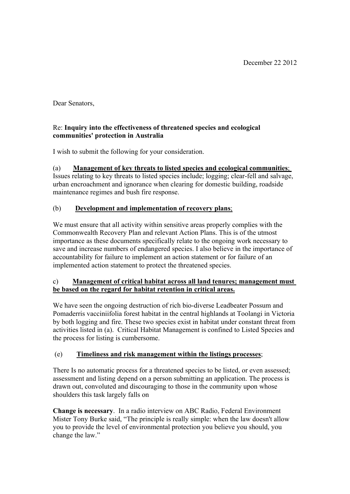Dear Senators,

### Re: **Inquiry into the effectiveness of threatened species and ecological communities' protection in Australia**

I wish to submit the following for your consideration.

# (a) **Management of key threats to listed species and ecological communities**;

Issues relating to key threats to listed species include; logging; clear-fell and salvage, urban encroachment and ignorance when clearing for domestic building, roadside maintenance regimes and bush fire response.

## (b) **Development and implementation of recovery plans**;

We must ensure that all activity within sensitive areas properly complies with the Commonwealth Recovery Plan and relevant Action Plans. This is of the utmost importance as these documents specifically relate to the ongoing work necessary to save and increase numbers of endangered species. I also believe in the importance of accountability for failure to implement an action statement or for failure of an implemented action statement to protect the threatened species.

### c) **Management of critical habitat across all land tenures; management must be based on the regard for habitat retention in critical areas.**

We have seen the ongoing destruction of rich bio-diverse Leadbeater Possum and Pomaderris vacciniifolia forest habitat in the central highlands at Toolangi in Victoria by both logging and fire. These two species exist in habitat under constant threat from activities listed in (a). Critical Habitat Management is confined to Listed Species and the process for listing is cumbersome.

## (e) **Timeliness and risk management within the listings processes**;

There Is no automatic process for a threatened species to be listed, or even assessed; assessment and listing depend on a person submitting an application. The process is drawn out, convoluted and discouraging to those in the community upon whose shoulders this task largely falls on

**Change is necessary**. In a radio interview on ABC Radio, Federal Environment Mister Tony Burke said, "The principle is really simple: when the law doesn't allow you to provide the level of environmental protection you believe you should, you change the law."